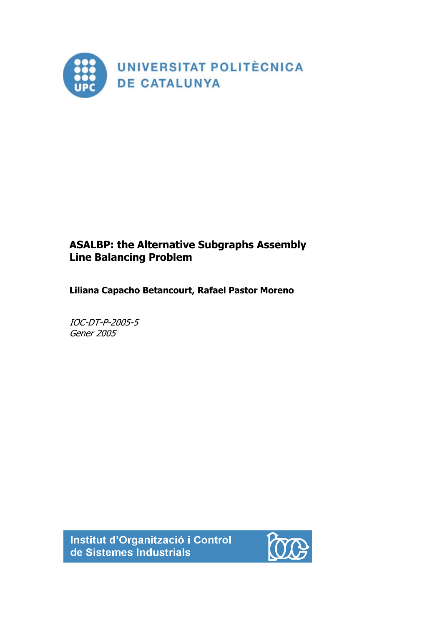

# **ASALBP: the Alternative Subgraphs Assembly Line Balancing Problem**

**Liliana Capacho Betancourt, Rafael Pastor Moreno** 

IOC-DT-P-2005-5 Gener 2005

Institut d'Organització i Control de Sistemes Industrials

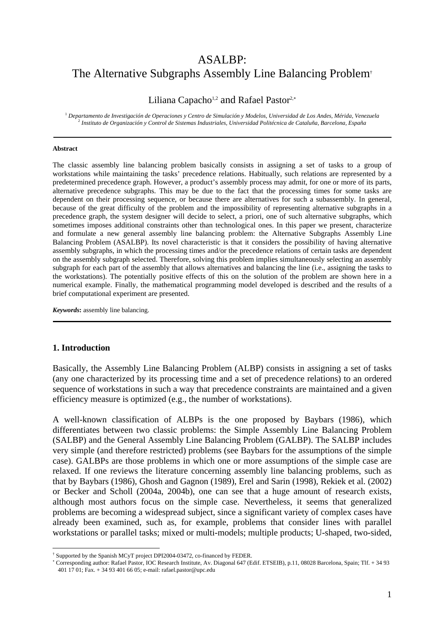## ASALBP: The Alternative Subgraphs Assembly Line Balancing Problem†

## Liliana Capacho<sup>1,2</sup> and Rafael Pastor<sup>2,∗</sup>

<sup>1</sup> *Departamento de Investigación de Operaciones y Centro de Simulación y Modelos, Universidad de Los Andes, Mérida, Venezuela* <sup>2</sup> *Instituto de Organización y Control de Sistemas Industriales, Universidad Politécnica de Cataluña, Barcelona, España*

#### **Abstract**

The classic assembly line balancing problem basically consists in assigning a set of tasks to a group of workstations while maintaining the tasks' precedence relations. Habitually, such relations are represented by a predetermined precedence graph. However, a product's assembly process may admit, for one or more of its parts, alternative precedence subgraphs. This may be due to the fact that the processing times for some tasks are dependent on their processing sequence, or because there are alternatives for such a subassembly. In general, because of the great difficulty of the problem and the impossibility of representing alternative subgraphs in a precedence graph, the system designer will decide to select, a priori, one of such alternative subgraphs, which sometimes imposes additional constraints other than technological ones. In this paper we present, characterize and formulate a new general assembly line balancing problem: the Alternative Subgraphs Assembly Line Balancing Problem (ASALBP). Its novel characteristic is that it considers the possibility of having alternative assembly subgraphs, in which the processing times and/or the precedence relations of certain tasks are dependent on the assembly subgraph selected. Therefore, solving this problem implies simultaneously selecting an assembly subgraph for each part of the assembly that allows alternatives and balancing the line (i.e., assigning the tasks to the workstations). The potentially positive effects of this on the solution of the problem are shown here in a numerical example. Finally, the mathematical programming model developed is described and the results of a brief computational experiment are presented.

*Keywords***:** assembly line balancing.

#### **1. Introduction**

 $\overline{a}$ 

Basically, the Assembly Line Balancing Problem (ALBP) consists in assigning a set of tasks (any one characterized by its processing time and a set of precedence relations) to an ordered sequence of workstations in such a way that precedence constraints are maintained and a given efficiency measure is optimized (e.g., the number of workstations).

A well-known classification of ALBPs is the one proposed by Baybars (1986), which differentiates between two classic problems: the Simple Assembly Line Balancing Problem (SALBP) and the General Assembly Line Balancing Problem (GALBP). The SALBP includes very simple (and therefore restricted) problems (see Baybars for the assumptions of the simple case). GALBPs are those problems in which one or more assumptions of the simple case are relaxed. If one reviews the literature concerning assembly line balancing problems, such as that by Baybars (1986), Ghosh and Gagnon (1989), Erel and Sarin (1998), Rekiek et al. (2002) or Becker and Scholl (2004a, 2004b), one can see that a huge amount of research exists, although most authors focus on the simple case. Nevertheless, it seems that generalized problems are becoming a widespread subject, since a significant variety of complex cases have already been examined, such as, for example, problems that consider lines with parallel workstations or parallel tasks; mixed or multi-models; multiple products; U-shaped, two-sided,

<sup>†</sup> Supported by the Spanish MCyT project DPI2004-03472, co-financed by FEDER.

<sup>∗</sup> Corresponding author: Rafael Pastor, IOC Research Institute, Av. Diagonal 647 (Edif. ETSEIB), p.11, 08028 Barcelona, Spain; Tlf. + 34 93 401 17 01; Fax. + 34 93 401 66 05; e-mail: rafael.pastor@upc.edu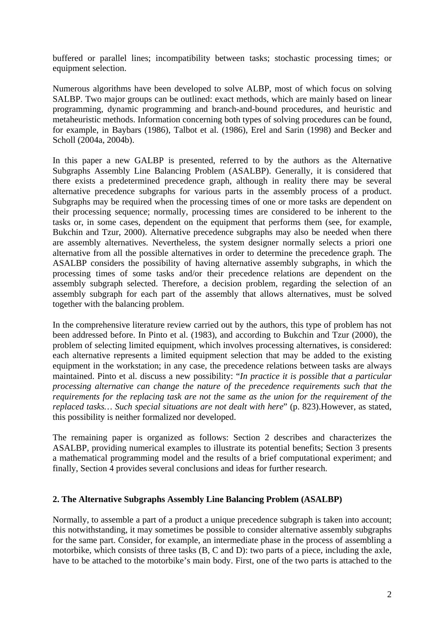buffered or parallel lines; incompatibility between tasks; stochastic processing times; or equipment selection.

Numerous algorithms have been developed to solve ALBP, most of which focus on solving SALBP. Two major groups can be outlined: exact methods, which are mainly based on linear programming, dynamic programming and branch-and-bound procedures, and heuristic and metaheuristic methods. Information concerning both types of solving procedures can be found, for example, in Baybars (1986), Talbot et al. (1986), Erel and Sarin (1998) and Becker and Scholl (2004a, 2004b).

In this paper a new GALBP is presented, referred to by the authors as the Alternative Subgraphs Assembly Line Balancing Problem (ASALBP). Generally, it is considered that there exists a predetermined precedence graph, although in reality there may be several alternative precedence subgraphs for various parts in the assembly process of a product. Subgraphs may be required when the processing times of one or more tasks are dependent on their processing sequence; normally, processing times are considered to be inherent to the tasks or, in some cases, dependent on the equipment that performs them (see, for example, Bukchin and Tzur, 2000). Alternative precedence subgraphs may also be needed when there are assembly alternatives. Nevertheless, the system designer normally selects a priori one alternative from all the possible alternatives in order to determine the precedence graph. The ASALBP considers the possibility of having alternative assembly subgraphs, in which the processing times of some tasks and/or their precedence relations are dependent on the assembly subgraph selected. Therefore, a decision problem, regarding the selection of an assembly subgraph for each part of the assembly that allows alternatives, must be solved together with the balancing problem.

In the comprehensive literature review carried out by the authors, this type of problem has not been addressed before. In Pinto et al. (1983), and according to Bukchin and Tzur (2000), the problem of selecting limited equipment, which involves processing alternatives, is considered: each alternative represents a limited equipment selection that may be added to the existing equipment in the workstation; in any case, the precedence relations between tasks are always maintained. Pinto et al. discuss a new possibility: "*In practice it is possible that a particular processing alternative can change the nature of the precedence requirements such that the requirements for the replacing task are not the same as the union for the requirement of the replaced tasks… Such special situations are not dealt with here*" (p. 823).However, as stated, this possibility is neither formalized nor developed.

The remaining paper is organized as follows: Section 2 describes and characterizes the ASALBP, providing numerical examples to illustrate its potential benefits; Section 3 presents a mathematical programming model and the results of a brief computational experiment; and finally, Section 4 provides several conclusions and ideas for further research.

#### **2. The Alternative Subgraphs Assembly Line Balancing Problem (ASALBP)**

Normally, to assemble a part of a product a unique precedence subgraph is taken into account; this notwithstanding, it may sometimes be possible to consider alternative assembly subgraphs for the same part. Consider, for example, an intermediate phase in the process of assembling a motorbike, which consists of three tasks (B, C and D): two parts of a piece, including the axle, have to be attached to the motorbike's main body. First, one of the two parts is attached to the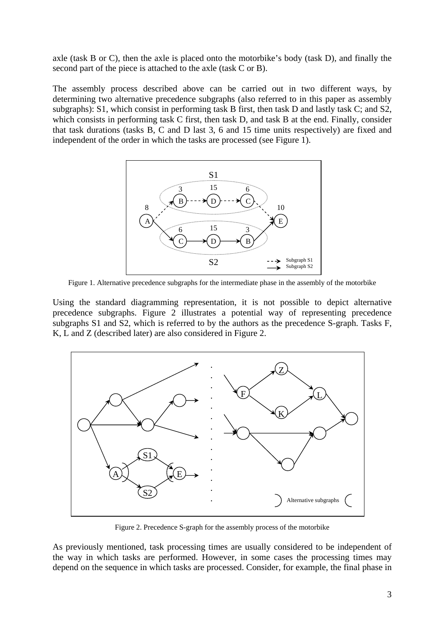axle (task B or C), then the axle is placed onto the motorbike's body (task D), and finally the second part of the piece is attached to the axle (task C or B).

The assembly process described above can be carried out in two different ways, by determining two alternative precedence subgraphs (also referred to in this paper as assembly subgraphs): S1, which consist in performing task B first, then task D and lastly task C; and S2, which consists in performing task C first, then task D, and task B at the end. Finally, consider that task durations (tasks B, C and D last 3, 6 and 15 time units respectively) are fixed and independent of the order in which the tasks are processed (see Figure 1).



Figure 1. Alternative precedence subgraphs for the intermediate phase in the assembly of the motorbike

Using the standard diagramming representation, it is not possible to depict alternative precedence subgraphs. Figure 2 illustrates a potential way of representing precedence subgraphs S1 and S2, which is referred to by the authors as the precedence S-graph. Tasks F, K, L and Z (described later) are also considered in Figure 2.



Figure 2. Precedence S-graph for the assembly process of the motorbike

As previously mentioned, task processing times are usually considered to be independent of the way in which tasks are performed. However, in some cases the processing times may depend on the sequence in which tasks are processed. Consider, for example, the final phase in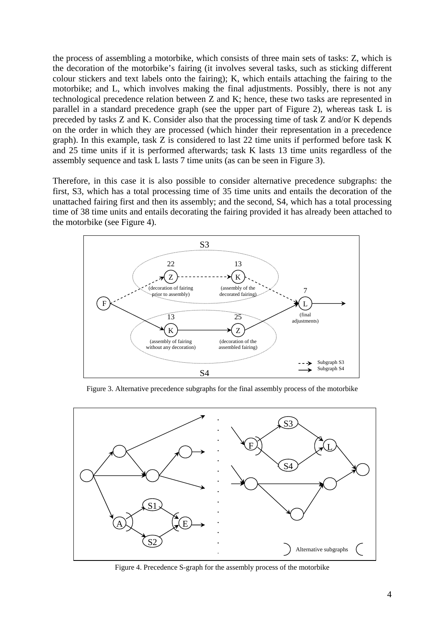the process of assembling a motorbike, which consists of three main sets of tasks: Z, which is the decoration of the motorbike's fairing (it involves several tasks, such as sticking different colour stickers and text labels onto the fairing); K, which entails attaching the fairing to the motorbike; and L, which involves making the final adjustments. Possibly, there is not any technological precedence relation between Z and K; hence, these two tasks are represented in parallel in a standard precedence graph (see the upper part of Figure 2), whereas task L is preceded by tasks Z and K. Consider also that the processing time of task Z and/or K depends on the order in which they are processed (which hinder their representation in a precedence graph). In this example, task Z is considered to last 22 time units if performed before task K and 25 time units if it is performed afterwards; task K lasts 13 time units regardless of the assembly sequence and task L lasts 7 time units (as can be seen in Figure 3).

Therefore, in this case it is also possible to consider alternative precedence subgraphs: the first, S3, which has a total processing time of 35 time units and entails the decoration of the unattached fairing first and then its assembly; and the second, S4, which has a total processing time of 38 time units and entails decorating the fairing provided it has already been attached to the motorbike (see Figure 4).



Figure 3. Alternative precedence subgraphs for the final assembly process of the motorbike



Figure 4. Precedence S-graph for the assembly process of the motorbike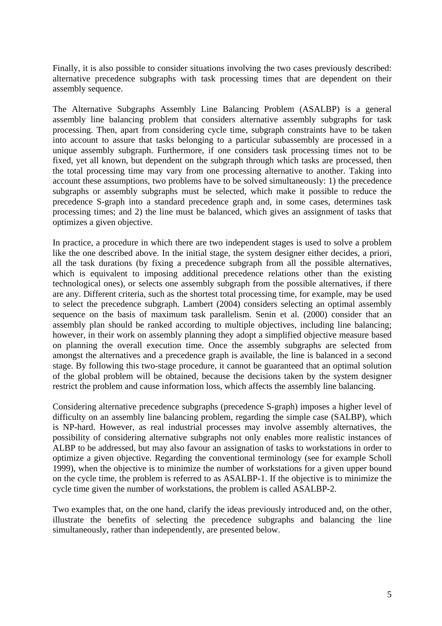Finally, it is also possible to consider situations involving the two cases previously described: alternative precedence subgraphs with task processing times that are dependent on their assembly sequence.

The Alternative Subgraphs Assembly Line Balancing Problem (ASALBP) is a general assembly line balancing problem that considers alternative assembly subgraphs for task processing. Then, apart from considering cycle time, subgraph constraints have to be taken into account to assure that tasks belonging to a particular subassembly are processed in a unique assembly subgraph. Furthermore, if one considers task processing times not to be fixed, yet all known, but dependent on the subgraph through which tasks are processed, then the total processing time may vary from one processing alternative to another. Taking into account these assumptions, two problems have to be solved simultaneously: 1) the precedence subgraphs or assembly subgraphs must be selected, which make it possible to reduce the precedence S-graph into a standard precedence graph and, in some cases, determines task processing times; and 2) the line must be balanced, which gives an assignment of tasks that optimizes a given objective.

In practice, a procedure in which there are two independent stages is used to solve a problem like the one described above. In the initial stage, the system designer either decides, a priori, all the task durations (by fixing a precedence subgraph from all the possible alternatives, which is equivalent to imposing additional precedence relations other than the existing technological ones), or selects one assembly subgraph from the possible alternatives, if there are any. Different criteria, such as the shortest total processing time, for example, may be used to select the precedence subgraph. Lambert (2004) considers selecting an optimal assembly sequence on the basis of maximum task parallelism. Senin et al. (2000) consider that an assembly plan should be ranked according to multiple objectives, including line balancing; however, in their work on assembly planning they adopt a simplified objective measure based on planning the overall execution time. Once the assembly subgraphs are selected from amongst the alternatives and a precedence graph is available, the line is balanced in a second stage. By following this two-stage procedure, it cannot be guaranteed that an optimal solution of the global problem will be obtained, because the decisions taken by the system designer restrict the problem and cause information loss, which affects the assembly line balancing.

Considering alternative precedence subgraphs (precedence S-graph) imposes a higher level of difficulty on an assembly line balancing problem, regarding the simple case (SALBP), which is NP-hard. However, as real industrial processes may involve assembly alternatives, the possibility of considering alternative subgraphs not only enables more realistic instances of ALBP to be addressed, but may also favour an assignation of tasks to workstations in order to optimize a given objective. Regarding the conventional terminology (see for example Scholl 1999), when the objective is to minimize the number of workstations for a given upper bound on the cycle time, the problem is referred to as ASALBP-1. If the objective is to minimize the cycle time given the number of workstations, the problem is called ASALBP-2.

Two examples that, on the one hand, clarify the ideas previously introduced and, on the other, illustrate the benefits of selecting the precedence subgraphs and balancing the line simultaneously, rather than independently, are presented below.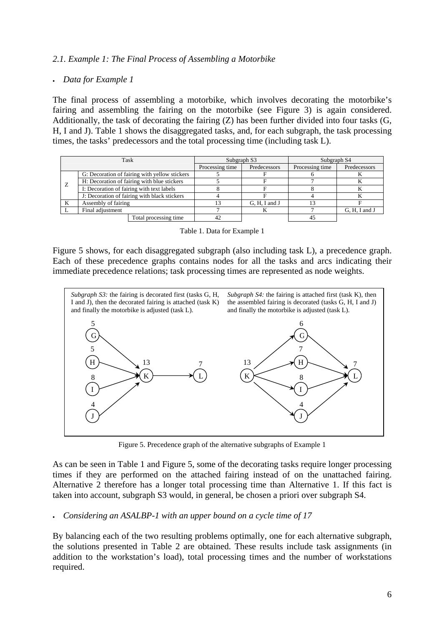## *2.1. Example 1: The Final Process of Assembling a Motorbike*

#### • *Data for Example 1*

The final process of assembling a motorbike, which involves decorating the motorbike's fairing and assembling the fairing on the motorbike (see Figure 3) is again considered. Additionally, the task of decorating the fairing (Z) has been further divided into four tasks (G, H, I and J). Table 1 shows the disaggregated tasks, and, for each subgraph, the task processing times, the tasks' predecessors and the total processing time (including task L).

|              | Task                                          | Subgraph S3     |               | Subgraph S4     |               |
|--------------|-----------------------------------------------|-----------------|---------------|-----------------|---------------|
|              |                                               | Processing time | Predecessors  | Processing time | Predecessors  |
|              | G: Decoration of fairing with yellow stickers |                 |               |                 |               |
| <sup>Z</sup> | H: Decoration of fairing with blue stickers   |                 |               |                 |               |
|              | I: Decoration of fairing with text labels     |                 |               |                 |               |
|              | J: Decoration of fairing with black stickers  |                 |               |                 |               |
| K            | Assembly of fairing                           |                 | G, H, I and J |                 |               |
|              | Final adjustment                              |                 |               |                 | G, H, I and J |
|              | Total processing time                         | 42              |               |                 |               |

|  |  | Table 1. Data for Example 1 |  |
|--|--|-----------------------------|--|
|  |  |                             |  |

Figure 5 shows, for each disaggregated subgraph (also including task L), a precedence graph. Each of these precedence graphs contains nodes for all the tasks and arcs indicating their immediate precedence relations; task processing times are represented as node weights.



Figure 5. Precedence graph of the alternative subgraphs of Example 1

As can be seen in Table 1 and Figure 5, some of the decorating tasks require longer processing times if they are performed on the attached fairing instead of on the unattached fairing. Alternative 2 therefore has a longer total processing time than Alternative 1. If this fact is taken into account, subgraph S3 would, in general, be chosen a priori over subgraph S4.

#### • *Considering an ASALBP-1 with an upper bound on a cycle time of 17*

By balancing each of the two resulting problems optimally, one for each alternative subgraph, the solutions presented in Table 2 are obtained. These results include task assignments (in addition to the workstation's load), total processing times and the number of workstations required.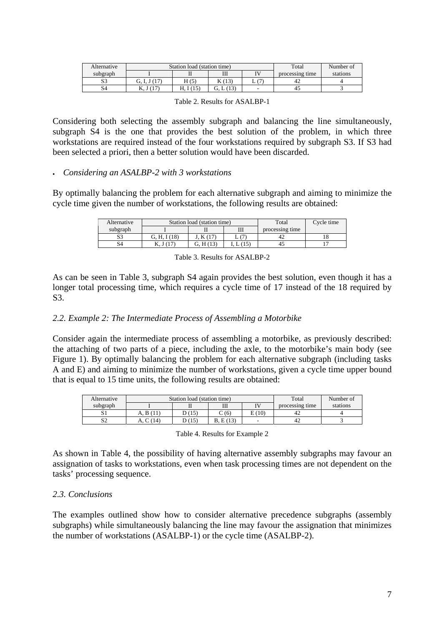| Alternative  |              | Station load (station time) | Total      | Number of |                 |          |
|--------------|--------------|-----------------------------|------------|-----------|-----------------|----------|
| subgraph     |              |                             | Ш          |           | processing time | stations |
| $\sim$<br>دد |              | H(5)                        | <b>NUP</b> | ∸         | 42              |          |
| 54           | $\Lambda, J$ |                             | 12<br>U.   |           |                 |          |

Considering both selecting the assembly subgraph and balancing the line simultaneously, subgraph S4 is the one that provides the best solution of the problem, in which three workstations are required instead of the four workstations required by subgraph S3. If S3 had been selected a priori, then a better solution would have been discarded.

#### • *Considering an ASALBP-2 with 3 workstations*

By optimally balancing the problem for each alternative subgraph and aiming to minimize the cycle time given the number of workstations, the following results are obtained:

| Alternative |               | Station load (station time) | Total | Cycle time      |  |
|-------------|---------------|-----------------------------|-------|-----------------|--|
| subgraph    |               |                             | Ш     | processing time |  |
| S3          | I(18)<br>Н.   |                             |       |                 |  |
| S4          | $\Lambda$ . J |                             | L (15 |                 |  |

Table 3. Results for ASALBP-2

As can be seen in Table 3, subgraph S4 again provides the best solution, even though it has a longer total processing time, which requires a cycle time of 17 instead of the 18 required by S3.

### *2.2. Example 2: The Intermediate Process of Assembling a Motorbike*

Consider again the intermediate process of assembling a motorbike, as previously described: the attaching of two parts of a piece, including the axle, to the motorbike's main body (see Figure 1). By optimally balancing the problem for each alternative subgraph (including tasks A and E) and aiming to minimize the number of workstations, given a cycle time upper bound that is equal to 15 time units, the following results are obtained:

| Alternative  |           | Station load (station time) | Total         | Number of       |                 |          |
|--------------|-----------|-----------------------------|---------------|-----------------|-----------------|----------|
| subgraph     |           |                             | Ш             | TV <sub>1</sub> | processing time | stations |
| υı           | A. B (11) | D (15)                      | $\degree$ (6) | E(10)           | 42              |          |
| $\sim$<br>∠د | (14)      | (15)                        | E(13)         |                 | 42              |          |

Table 4. Results for Example 2

As shown in Table 4, the possibility of having alternative assembly subgraphs may favour an assignation of tasks to workstations, even when task processing times are not dependent on the tasks' processing sequence.

#### *2.3. Conclusions*

The examples outlined show how to consider alternative precedence subgraphs (assembly subgraphs) while simultaneously balancing the line may favour the assignation that minimizes the number of workstations (ASALBP-1) or the cycle time (ASALBP-2).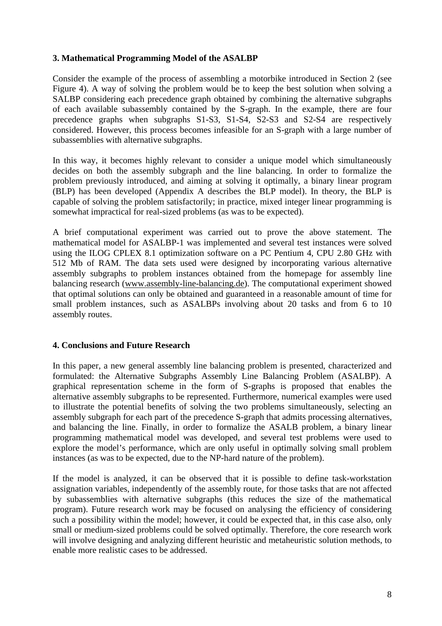## **3. Mathematical Programming Model of the ASALBP**

Consider the example of the process of assembling a motorbike introduced in Section 2 (see Figure 4). A way of solving the problem would be to keep the best solution when solving a SALBP considering each precedence graph obtained by combining the alternative subgraphs of each available subassembly contained by the S-graph. In the example, there are four precedence graphs when subgraphs S1-S3, S1-S4, S2-S3 and S2-S4 are respectively considered. However, this process becomes infeasible for an S-graph with a large number of subassemblies with alternative subgraphs.

In this way, it becomes highly relevant to consider a unique model which simultaneously decides on both the assembly subgraph and the line balancing. In order to formalize the problem previously introduced, and aiming at solving it optimally, a binary linear program (BLP) has been developed (Appendix A describes the BLP model). In theory, the BLP is capable of solving the problem satisfactorily; in practice, mixed integer linear programming is somewhat impractical for real-sized problems (as was to be expected).

A brief computational experiment was carried out to prove the above statement. The mathematical model for ASALBP-1 was implemented and several test instances were solved using the ILOG CPLEX 8.1 optimization software on a PC Pentium 4, CPU 2.80 GHz with 512 Mb of RAM. The data sets used were designed by incorporating various alternative assembly subgraphs to problem instances obtained from the homepage for assembly line balancing research (www.assembly-line-balancing.de). The computational experiment showed that optimal solutions can only be obtained and guaranteed in a reasonable amount of time for small problem instances, such as ASALBPs involving about 20 tasks and from 6 to 10 assembly routes.

#### **4. Conclusions and Future Research**

In this paper, a new general assembly line balancing problem is presented, characterized and formulated: the Alternative Subgraphs Assembly Line Balancing Problem (ASALBP). A graphical representation scheme in the form of S-graphs is proposed that enables the alternative assembly subgraphs to be represented. Furthermore, numerical examples were used to illustrate the potential benefits of solving the two problems simultaneously, selecting an assembly subgraph for each part of the precedence S-graph that admits processing alternatives, and balancing the line. Finally, in order to formalize the ASALB problem, a binary linear programming mathematical model was developed, and several test problems were used to explore the model's performance, which are only useful in optimally solving small problem instances (as was to be expected, due to the NP-hard nature of the problem).

If the model is analyzed, it can be observed that it is possible to define task-workstation assignation variables, independently of the assembly route, for those tasks that are not affected by subassemblies with alternative subgraphs (this reduces the size of the mathematical program). Future research work may be focused on analysing the efficiency of considering such a possibility within the model; however, it could be expected that, in this case also, only small or medium-sized problems could be solved optimally. Therefore, the core research work will involve designing and analyzing different heuristic and metaheuristic solution methods, to enable more realistic cases to be addressed.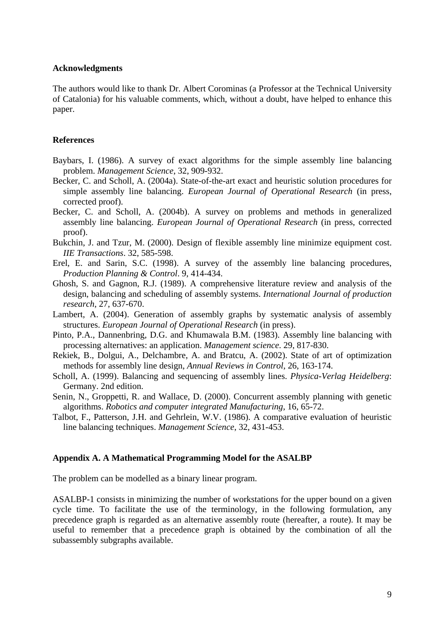#### **Acknowledgments**

The authors would like to thank Dr. Albert Corominas (a Professor at the Technical University of Catalonia) for his valuable comments, which, without a doubt, have helped to enhance this paper.

#### **References**

- Baybars, I. (1986). A survey of exact algorithms for the simple assembly line balancing problem. *Management Science*, 32, 909-932.
- Becker, C. and Scholl, A. (2004a). State-of-the-art exact and heuristic solution procedures for simple assembly line balancing. *European Journal of Operational Research* (in press, corrected proof).
- Becker, C. and Scholl, A. (2004b). A survey on problems and methods in generalized assembly line balancing. *European Journal of Operational Research* (in press, corrected proof).
- Bukchin, J. and Tzur, M. (2000). Design of flexible assembly line minimize equipment cost. *IIE Transactions*. 32, 585-598.
- Erel, E. and Sarin, S.C. (1998). A survey of the assembly line balancing procedures, *Production Planning & Control*. 9, 414-434.
- Ghosh, S. and Gagnon, R.J. (1989). A comprehensive literature review and analysis of the design, balancing and scheduling of assembly systems. *International Journal of production research*, 27, 637-670.
- Lambert, A. (2004). Generation of assembly graphs by systematic analysis of assembly structures. *European Journal of Operational Research* (in press).
- Pinto, P.A., Dannenbring, D.G. and Khumawala B.M. (1983). Assembly line balancing with processing alternatives: an application. *Management science*. 29, 817-830.
- Rekiek, B., Dolgui, A., Delchambre, A. and Bratcu, A. (2002). State of art of optimization methods for assembly line design, *Annual Reviews in Control*, 26, 163-174.
- Scholl, A. (1999). Balancing and sequencing of assembly lines. *Physica-Verlag Heidelberg*: Germany. 2nd edition.
- Senin, N., Groppetti, R. and Wallace, D. (2000). Concurrent assembly planning with genetic algorithms. *Robotics and computer integrated Manufacturing*, 16, 65-72.
- Talbot, F., Patterson, J.H. and Gehrlein, W.V. (1986). A comparative evaluation of heuristic line balancing techniques. *Management Science*, 32, 431-453.

#### **Appendix A. A Mathematical Programming Model for the ASALBP**

The problem can be modelled as a binary linear program.

ASALBP-1 consists in minimizing the number of workstations for the upper bound on a given cycle time. To facilitate the use of the terminology, in the following formulation, any precedence graph is regarded as an alternative assembly route (hereafter, a route). It may be useful to remember that a precedence graph is obtained by the combination of all the subassembly subgraphs available.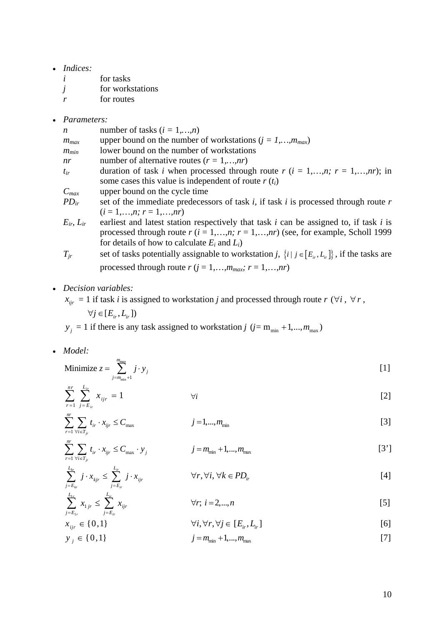- *Indices:* 
	- *i* for tasks
	- *j* for workstations
	- *r* for routes
- *Parameters:*

| n                   | number of tasks $(i = 1,,n)$                                                               |
|---------------------|--------------------------------------------------------------------------------------------|
| $m_{max}$           | upper bound on the number of workstations ( $j = 1,,m_{max}$ )                             |
| $m_{min}$           | lower bound on the number of workstations                                                  |
| nr                  | number of alternative routes $(r = 1,,nr)$                                                 |
| $t_{ir}$            | duration of task <i>i</i> when processed through route $r$ ( $i = 1,,n; r = 1,,nr$ ); in   |
|                     | some cases this value is independent of route $r(t_i)$                                     |
| $C_{max}$           | upper bound on the cycle time                                                              |
| $PD_{ir}$           | set of the immediate predecessors of task $i$ , if task $i$ is processed through route $r$ |
|                     | $(i = 1, \ldots, n; r = 1, \ldots, nr)$                                                    |
| $E_{ir}$ , $L_{ir}$ | earliest and latest station respectively that task i can be assigned to, if task i is      |
|                     | processed through route $r(i = 1,,n; r = 1,,nr)$ (see, for example, Scholl 1999)           |
|                     | for details of how to calculate $E_i$ and $L_i$ )                                          |

- *T<sub>jr</sub>* set of tasks potentially assignable to workstation *j*,  $\{i \mid j \in [E_{i_r}, L_{i_r}]\}$ , if the tasks are processed through route  $r$  ( $j = 1,...,m_{max}$ ;  $r = 1,...,nr$ )
- *Decision variables:*

 $x_{ijr} = 1$  if task *i* is assigned to workstation *j* and processed through route *r* (∀*i*, ∀*r*,

 $\forall j \in [E_{ir}, L_{ir}]$ 

 $y_j = 1$  if there is any task assigned to workstation *j* ( $j = m_{min} + 1, ..., m_{max}$ )

• *Model:*

1

1 *r*  $L_{ir}$ 

 $L_{1r}$   $L$ 

 $j = E_{1r}$   $j = E$ 

 $j$ *r*  $\cong$   $\angle$   $\sim$   $\omega$  *ijr* 

 $x_{1ir} \leq \sum x$ 

 $_{\rm min} + 1$ Minimize *mmax j j m*  $z = \sum j \cdot y$  $=\sum_{j=m_{\min}+1}^{\infty} j \cdot y_j$  [1]

$$
\sum_{r=1}^{n r} \sum_{j=E_{ir}}^{L_{ir}} x_{ijr} = 1 \qquad \qquad \forall i
$$

$$
\sum_{r=1}^{nr} \sum_{\forall i \in T_{jr}} t_{ir} \cdot x_{ijr} \le C_{\max} \qquad j = 1, ..., m_{\min} \qquad [3]
$$

$$
\sum_{r=1}^{nr} \sum_{\forall i \in T_{jr}} t_{ir} \cdot x_{ijr} \le C_{\max} \cdot y_j \qquad j = m_{\min} + 1, ..., m_{\max}
$$
 [3']

$$
\sum_{j=E_{kr}}^{L_{kr}} j \cdot x_{kjr} \leq \sum_{j=E_{ir}}^{L_{ir}} j \cdot x_{ijr} \qquad \forall r, \forall i, \forall k \in PD_{ir} \qquad [4]
$$

$$
\sum_{i=E_{1r}}^{n} x_{1jr} \leq \sum_{j=E_{ir}}^{n} x_{ijr} \qquad \forall r; \ i = 2,...,n
$$
 [5]

$$
x_{ijr} \in \{0,1\} \qquad \forall i, \forall r, \forall j \in [E_{ir}, L_{ir}]
$$

$$
y_j \in \{0, 1\} \qquad j = m_{\min} + 1, ..., m_{\max} \qquad [7]
$$